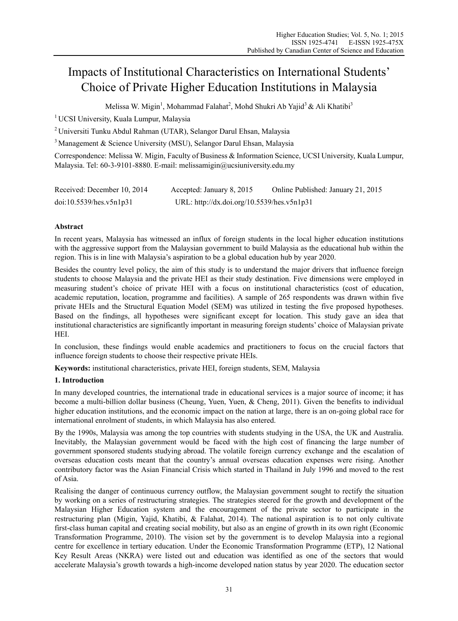# Impacts of Institutional Characteristics on International Students' Choice of Private Higher Education Institutions in Malaysia

Melissa W. Migin<sup>1</sup>, Mohammad Falahat<sup>2</sup>, Mohd Shukri Ab Yajid<sup>3</sup> & Ali Khatibi<sup>3</sup>

<sup>1</sup> UCSI University, Kuala Lumpur, Malaysia

2 Universiti Tunku Abdul Rahman (UTAR), Selangor Darul Ehsan, Malaysia

3 Management & Science University (MSU), Selangor Darul Ehsan, Malaysia

Correspondence: Melissa W. Migin, Faculty of Business & Information Science, UCSI University, Kuala Lumpur, Malaysia. Tel: 60-3-9101-8880. E-mail: melissamigin@ucsiuniversity.edu.my

| Received: December 10, 2014 | Accepted: January 8, 2015                  | Online Published: January 21, 2015 |
|-----------------------------|--------------------------------------------|------------------------------------|
| doi:10.5539/hes.v5n1p31     | URL: http://dx.doi.org/10.5539/hes.v5n1p31 |                                    |

# **Abstract**

In recent years, Malaysia has witnessed an influx of foreign students in the local higher education institutions with the aggressive support from the Malaysian government to build Malaysia as the educational hub within the region. This is in line with Malaysia's aspiration to be a global education hub by year 2020.

Besides the country level policy, the aim of this study is to understand the major drivers that influence foreign students to choose Malaysia and the private HEI as their study destination. Five dimensions were employed in measuring student's choice of private HEI with a focus on institutional characteristics (cost of education, academic reputation, location, programme and facilities). A sample of 265 respondents was drawn within five private HEIs and the Structural Equation Model (SEM) was utilized in testing the five proposed hypotheses. Based on the findings, all hypotheses were significant except for location. This study gave an idea that institutional characteristics are significantly important in measuring foreign students' choice of Malaysian private HEI.

In conclusion, these findings would enable academics and practitioners to focus on the crucial factors that influence foreign students to choose their respective private HEIs.

**Keywords:** institutional characteristics, private HEI, foreign students, SEM, Malaysia

# **1. Introduction**

In many developed countries, the international trade in educational services is a major source of income; it has become a multi-billion dollar business (Cheung, Yuen, Yuen, & Cheng, 2011). Given the benefits to individual higher education institutions, and the economic impact on the nation at large, there is an on-going global race for international enrolment of students, in which Malaysia has also entered.

By the 1990s, Malaysia was among the top countries with students studying in the USA, the UK and Australia. Inevitably, the Malaysian government would be faced with the high cost of financing the large number of government sponsored students studying abroad. The volatile foreign currency exchange and the escalation of overseas education costs meant that the country's annual overseas education expenses were rising. Another contributory factor was the Asian Financial Crisis which started in Thailand in July 1996 and moved to the rest of Asia.

Realising the danger of continuous currency outflow, the Malaysian government sought to rectify the situation by working on a series of restructuring strategies. The strategies steered for the growth and development of the Malaysian Higher Education system and the encouragement of the private sector to participate in the restructuring plan (Migin, Yajid, Khatibi, & Falahat, 2014). The national aspiration is to not only cultivate first-class human capital and creating social mobility, but also as an engine of growth in its own right (Economic Transformation Programme, 2010). The vision set by the government is to develop Malaysia into a regional centre for excellence in tertiary education. Under the Economic Transformation Programme (ETP), 12 National Key Result Areas (NKRA) were listed out and education was identified as one of the sectors that would accelerate Malaysia's growth towards a high-income developed nation status by year 2020. The education sector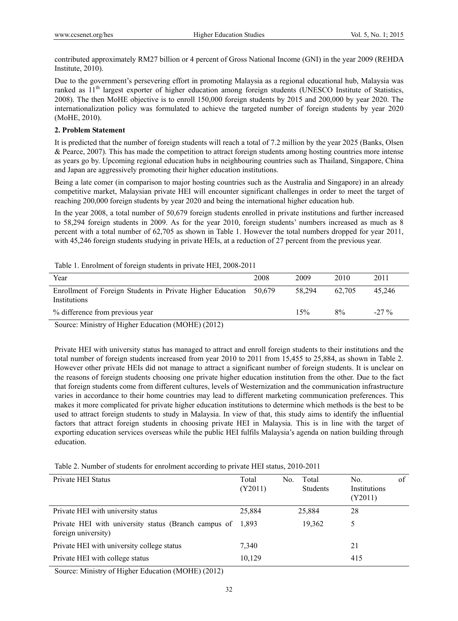contributed approximately RM27 billion or 4 percent of Gross National Income (GNI) in the year 2009 (REHDA Institute, 2010).

Due to the government's persevering effort in promoting Malaysia as a regional educational hub, Malaysia was ranked as  $11<sup>th</sup>$  largest exporter of higher education among foreign students (UNESCO Institute of Statistics, 2008). The then MoHE objective is to enroll 150,000 foreign students by 2015 and 200,000 by year 2020. The internationalization policy was formulated to achieve the targeted number of foreign students by year 2020 (MoHE, 2010).

## **2. Problem Statement**

It is predicted that the number of foreign students will reach a total of 7.2 million by the year 2025 (Banks, Olsen & Pearce, 2007). This has made the competition to attract foreign students among hosting countries more intense as years go by. Upcoming regional education hubs in neighbouring countries such as Thailand, Singapore, China and Japan are aggressively promoting their higher education institutions.

Being a late comer (in comparison to major hosting countries such as the Australia and Singapore) in an already competitive market, Malaysian private HEI will encounter significant challenges in order to meet the target of reaching 200,000 foreign students by year 2020 and being the international higher education hub.

In the year 2008, a total number of 50,679 foreign students enrolled in private institutions and further increased to 58,294 foreign students in 2009. As for the year 2010, foreign students' numbers increased as much as 8 percent with a total number of 62,705 as shown in Table 1. However the total numbers dropped for year 2011, with 45,246 foreign students studying in private HEIs, at a reduction of 27 percent from the previous year.

| Table 1. Embilion of foreign statems in private rilli, 2000-2011           |        |        |        |         |
|----------------------------------------------------------------------------|--------|--------|--------|---------|
| Year                                                                       | 2008   | 2009   | 2010   | 2011    |
| Enrollment of Foreign Students in Private Higher Education<br>Institutions | 50.679 | 58.294 | 62.705 | 45.246  |
| % difference from previous year                                            |        | 15%    | 8%     | $-27\%$ |
| $\cdots$<br>$CTT'$ 1<br>T1<br>(1.011T)(0.10)<br>$\sim$                     |        |        |        |         |

Table 1. Enrolment of foreign students in private HEI, 2008-2011

Source: Ministry of Higher Education (MOHE) (2012)

Private HEI with university status has managed to attract and enroll foreign students to their institutions and the total number of foreign students increased from year 2010 to 2011 from 15,455 to 25,884, as shown in Table 2. However other private HEIs did not manage to attract a significant number of foreign students. It is unclear on the reasons of foreign students choosing one private higher education institution from the other. Due to the fact that foreign students come from different cultures, levels of Westernization and the communication infrastructure varies in accordance to their home countries may lead to different marketing communication preferences. This makes it more complicated for private higher education institutions to determine which methods is the best to be used to attract foreign students to study in Malaysia. In view of that, this study aims to identify the influential factors that attract foreign students in choosing private HEI in Malaysia. This is in line with the target of exporting education services overseas while the public HEI fulfils Malaysia's agenda on nation building through education.

Table 2. Number of students for enrolment according to private HEI status, 2010-2011

| Private HEI Status                                                                 | Total<br>(Y2011) | No. | Total<br><b>Students</b> | No.<br><b>Institutions</b><br>(Y2011) | of |
|------------------------------------------------------------------------------------|------------------|-----|--------------------------|---------------------------------------|----|
| Private HEI with university status                                                 | 25,884           |     | 25,884                   | 28                                    |    |
| Private HEI with university status (Branch campus of 1,893)<br>foreign university) |                  |     | 19,362                   |                                       |    |
| Private HEI with university college status                                         | 7,340            |     |                          | 21                                    |    |
| Private HEI with college status                                                    | 10,129           |     |                          | 415                                   |    |

Source: Ministry of Higher Education (MOHE) (2012)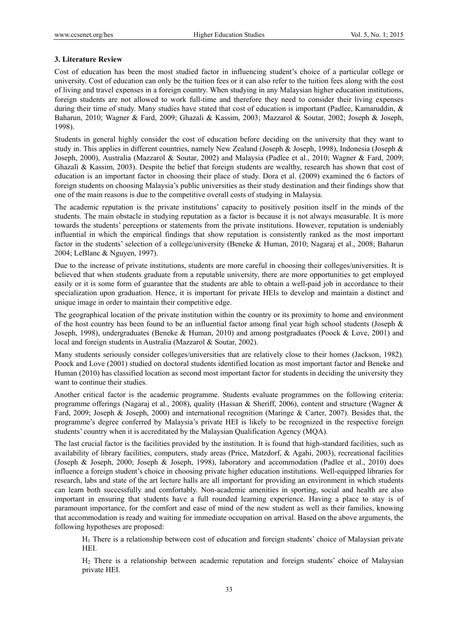## **3. Literature Review**

Cost of education has been the most studied factor in influencing student's choice of a particular college or university. Cost of education can only be the tuition fees or it can also refer to the tuition fees along with the cost of living and travel expenses in a foreign country. When studying in any Malaysian higher education institutions, foreign students are not allowed to work full-time and therefore they need to consider their living expenses during their time of study. Many studies have stated that cost of education is important (Padlee, Kamaruddin, & Baharun, 2010; Wagner & Fard, 2009; Ghazali & Kassim, 2003; Mazzarol & Soutar, 2002; Joseph & Joseph, 1998).

Students in general highly consider the cost of education before deciding on the university that they want to study in. This applies in different countries, namely New Zealand (Joseph & Joseph, 1998), Indonesia (Joseph & Joseph, 2000), Australia (Mazzarol & Soutar, 2002) and Malaysia (Padlee et al., 2010; Wagner & Fard, 2009; Ghazali & Kassim, 2003). Despite the belief that foreign students are wealthy, research has shown that cost of education is an important factor in choosing their place of study. Dora et al. (2009) examined the 6 factors of foreign students on choosing Malaysia's public universities as their study destination and their findings show that one of the main reasons is due to the competitive overall costs of studying in Malaysia.

The academic reputation is the private institutions' capacity to positively position itself in the minds of the students. The main obstacle in studying reputation as a factor is because it is not always measurable. It is more towards the students' perceptions or statements from the private institutions. However, reputation is undeniably influential in which the empirical findings that show reputation is consistently ranked as the most important factor in the students' selection of a college/university (Beneke & Human, 2010; Nagaraj et al., 2008; Baharun 2004; LeBlanc & Nguyen, 1997).

Due to the increase of private institutions, students are more careful in choosing their colleges/universities. It is believed that when students graduate from a reputable university, there are more opportunities to get employed easily or it is some form of guarantee that the students are able to obtain a well-paid job in accordance to their specialization upon graduation. Hence, it is important for private HEIs to develop and maintain a distinct and unique image in order to maintain their competitive edge.

The geographical location of the private institution within the country or its proximity to home and environment of the host country has been found to be an influential factor among final year high school students (Joseph & Joseph, 1998), undergraduates (Beneke & Human, 2010) and among postgraduates (Poock & Love, 2001) and local and foreign students in Australia (Mazzarol & Soutar, 2002).

Many students seriously consider colleges/universities that are relatively close to their homes (Jackson, 1982). Poock and Love (2001) studied on doctoral students identified location as most important factor and Beneke and Human (2010) has classified location as second most important factor for students in deciding the university they want to continue their studies.

Another critical factor is the academic programme. Students evaluate programmes on the following criteria: programme offerings (Nagaraj et al., 2008), quality (Hassan & Sheriff, 2006), content and structure (Wagner & Fard, 2009; Joseph & Joseph, 2000) and international recognition (Maringe & Carter, 2007). Besides that, the programme's degree conferred by Malaysia's private HEI is likely to be recognized in the respective foreign students' country when it is accreditated by the Malaysian Qualification Agency (MQA).

The last crucial factor is the facilities provided by the institution. It is found that high-standard facilities, such as availability of library facilities, computers, study areas (Price, Matzdorf, & Agahi, 2003), recreational facilities (Joseph & Joseph, 2000; Joseph & Joseph, 1998), laboratory and accommodation (Padlee et al., 2010) does influence a foreign student's choice in choosing private higher education institutions. Well-equipped libraries for research, labs and state of the art lecture halls are all important for providing an environment in which students can learn both successfully and comfortably. Non-academic amenities in sporting, social and health are also important in ensuring that students have a full rounded learning experience. Having a place to stay is of paramount importance, for the comfort and ease of mind of the new student as well as their families, knowing that accommodation is ready and waiting for immediate occupation on arrival. Based on the above arguments, the following hypotheses are proposed:

H1 There is a relationship between cost of education and foreign students' choice of Malaysian private HEI.

H2 There is a relationship between academic reputation and foreign students' choice of Malaysian private HEI.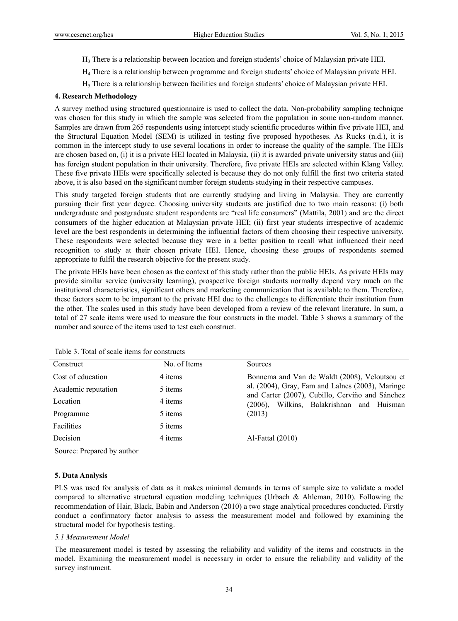- H3 There is a relationship between location and foreign students' choice of Malaysian private HEI.
- H4 There is a relationship between programme and foreign students' choice of Malaysian private HEI.
- H5 There is a relationship between facilities and foreign students' choice of Malaysian private HEI.

# **4. Research Methodology**

A survey method using structured questionnaire is used to collect the data. Non-probability sampling technique was chosen for this study in which the sample was selected from the population in some non-random manner. Samples are drawn from 265 respondents using intercept study scientific procedures within five private HEI, and the Structural Equation Model (SEM) is utilized in testing five proposed hypotheses. As Rucks (n.d.), it is common in the intercept study to use several locations in order to increase the quality of the sample. The HEIs are chosen based on, (i) it is a private HEI located in Malaysia, (ii) it is awarded private university status and (iii) has foreign student population in their university. Therefore, five private HEIs are selected within Klang Valley. These five private HEIs were specifically selected is because they do not only fulfill the first two criteria stated above, it is also based on the significant number foreign students studying in their respective campuses.

This study targeted foreign students that are currently studying and living in Malaysia. They are currently pursuing their first year degree. Choosing university students are justified due to two main reasons: (i) both undergraduate and postgraduate student respondents are "real life consumers" (Mattila, 2001) and are the direct consumers of the higher education at Malaysian private HEI; (ii) first year students irrespective of academic level are the best respondents in determining the influential factors of them choosing their respective university. These respondents were selected because they were in a better position to recall what influenced their need recognition to study at their chosen private HEI. Hence, choosing these groups of respondents seemed appropriate to fulfil the research objective for the present study.

The private HEIs have been chosen as the context of this study rather than the public HEIs. As private HEIs may provide similar service (university learning), prospective foreign students normally depend very much on the institutional characteristics, significant others and marketing communication that is available to them. Therefore, these factors seem to be important to the private HEI due to the challenges to differentiate their institution from the other. The scales used in this study have been developed from a review of the relevant literature. In sum, a total of 27 scale items were used to measure the four constructs in the model. Table 3 shows a summary of the number and source of the items used to test each construct.

| Construct           | No. of Items | Sources                                                                                             |
|---------------------|--------------|-----------------------------------------------------------------------------------------------------|
| Cost of education   | 4 items      | Bonnema and Van de Waldt (2008), Veloutsou et                                                       |
| Academic reputation | 5 items      | al. (2004), Gray, Fam and Lalnes (2003), Maringe<br>and Carter (2007), Cubillo, Cerviño and Sánchez |
| Location            | 4 items      | Wilkins, Balakrishnan and Huisman<br>$(2006)$ ,                                                     |
| Programme           | 5 items      | (2013)                                                                                              |
| <b>Facilities</b>   | 5 items      |                                                                                                     |
| Decision            | 4 items      | Al-Fattal $(2010)$                                                                                  |
|                     |              |                                                                                                     |

Table 3. Total of scale items for constructs

Source: Prepared by author

# **5. Data Analysis**

PLS was used for analysis of data as it makes minimal demands in terms of sample size to validate a model compared to alternative structural equation modeling techniques (Urbach & Ahleman, 2010). Following the recommendation of Hair, Black, Babin and Anderson (2010) a two stage analytical procedures conducted. Firstly conduct a confirmatory factor analysis to assess the measurement model and followed by examining the structural model for hypothesis testing.

# *5.1 Measurement Model*

The measurement model is tested by assessing the reliability and validity of the items and constructs in the model. Examining the measurement model is necessary in order to ensure the reliability and validity of the survey instrument.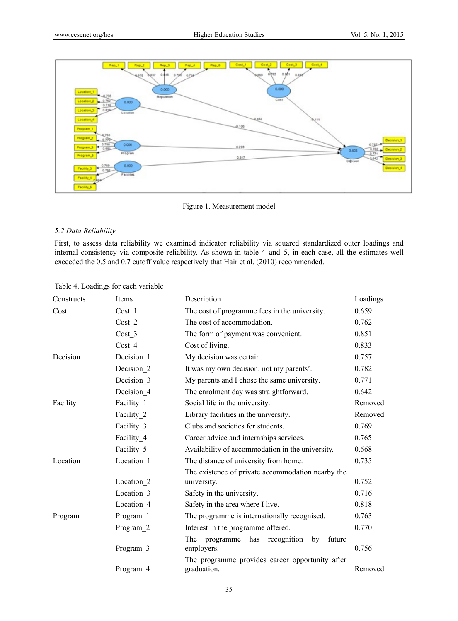

Figure 1. Measurement model

#### *5.2 Data Reliability*

First, to assess data reliability we examined indicator reliability via squared standardized outer loadings and internal consistency via composite reliability. As shown in table 4 and 5, in each case, all the estimates well exceeded the 0.5 and 0.7 cutoff value respectively that Hair et al. (2010) recommended.

| Constructs | Items      | Description                                                          | Loadings |
|------------|------------|----------------------------------------------------------------------|----------|
| Cost       | Cost 1     | The cost of programme fees in the university.                        | 0.659    |
|            | Cost 2     | The cost of accommodation.                                           | 0.762    |
|            | Cost 3     | The form of payment was convenient.                                  | 0.851    |
|            | Cost 4     | Cost of living.                                                      | 0.833    |
| Decision   | Decision 1 | My decision was certain.                                             | 0.757    |
|            | Decision 2 | It was my own decision, not my parents'.                             | 0.782    |
|            | Decision 3 | My parents and I chose the same university.                          | 0.771    |
|            | Decision 4 | The enrolment day was straightforward.                               | 0.642    |
| Facility   | Facility 1 | Social life in the university.                                       | Removed  |
|            | Facility 2 | Library facilities in the university.                                | Removed  |
|            | Facility 3 | Clubs and societies for students.                                    | 0.769    |
|            | Facility 4 | Career advice and internships services.                              | 0.765    |
|            | Facility 5 | Availability of accommodation in the university.                     | 0.668    |
| Location   | Location 1 | The distance of university from home.                                | 0.735    |
|            | Location 2 | The existence of private accommodation nearby the<br>university.     | 0.752    |
|            | Location 3 | Safety in the university.                                            | 0.716    |
|            | Location 4 | Safety in the area where I live.                                     | 0.818    |
| Program    | Program 1  | The programme is internationally recognised.                         | 0.763    |
|            | Program 2  | Interest in the programme offered.                                   | 0.770    |
|            | Program 3  | programme<br>recognition<br>The<br>has<br>by<br>future<br>employers. | 0.756    |
|            | Program 4  | The programme provides career opportunity after<br>graduation.       | Removed  |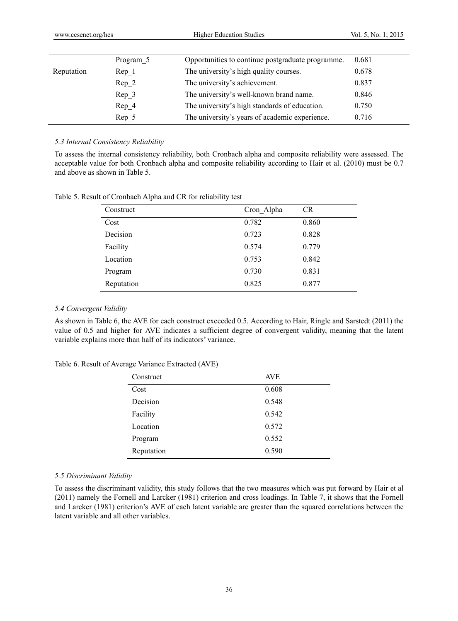|            | Program 5        | Opportunities to continue postgraduate programme. | 0.681 |
|------------|------------------|---------------------------------------------------|-------|
| Reputation | Rep <sub>1</sub> | The university's high quality courses.            | 0.678 |
|            | Rep 2            | The university's achievement.                     | 0.837 |
|            | Rep 3            | The university's well-known brand name.           | 0.846 |
|            | Rep 4            | The university's high standards of education.     | 0.750 |
|            | Rep 5            | The university's years of academic experience.    | 0.716 |
|            |                  |                                                   |       |

#### *5.3 Internal Consistency Reliability*

To assess the internal consistency reliability, both Cronbach alpha and composite reliability were assessed. The acceptable value for both Cronbach alpha and composite reliability according to Hair et al. (2010) must be 0.7 and above as shown in Table 5.

| Table 5. Result of Cronbach Alpha and CR for reliability test |
|---------------------------------------------------------------|
|---------------------------------------------------------------|

| Construct  | Cron Alpha | <b>CR</b> |
|------------|------------|-----------|
| Cost       | 0.782      | 0.860     |
| Decision   | 0.723      | 0.828     |
| Facility   | 0.574      | 0.779     |
| Location   | 0.753      | 0.842     |
| Program    | 0.730      | 0.831     |
| Reputation | 0.825      | 0.877     |

#### *5.4 Convergent Validity*

As shown in Table 6, the AVE for each construct exceeded 0.5. According to Hair, Ringle and Sarstedt (2011) the value of 0.5 and higher for AVE indicates a sufficient degree of convergent validity, meaning that the latent variable explains more than half of its indicators' variance.

| Construct  | <b>AVE</b> |
|------------|------------|
| Cost       | 0.608      |
| Decision   | 0.548      |
| Facility   | 0.542      |
| Location   | 0.572      |
| Program    | 0.552      |
| Reputation | 0.590      |

Table 6. Result of Average Variance Extracted (AVE)

#### *5.5 Discriminant Validity*

To assess the discriminant validity, this study follows that the two measures which was put forward by Hair et al (2011) namely the Fornell and Larcker (1981) criterion and cross loadings. In Table 7, it shows that the Fornell and Larcker (1981) criterion's AVE of each latent variable are greater than the squared correlations between the latent variable and all other variables.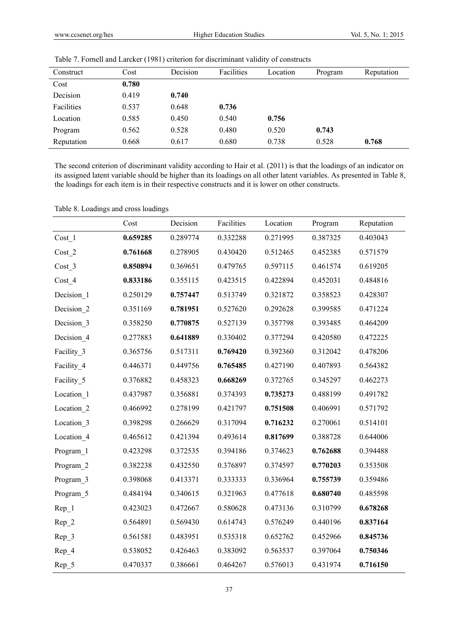| Construct  | Cost  | Decision | Facilities | Location | Program | Reputation |
|------------|-------|----------|------------|----------|---------|------------|
| Cost       | 0.780 |          |            |          |         |            |
| Decision   | 0.419 | 0.740    |            |          |         |            |
| Facilities | 0.537 | 0.648    | 0.736      |          |         |            |
| Location   | 0.585 | 0.450    | 0.540      | 0.756    |         |            |
| Program    | 0.562 | 0.528    | 0.480      | 0.520    | 0.743   |            |
| Reputation | 0.668 | 0.617    | 0.680      | 0.738    | 0.528   | 0.768      |

| Table 7. Fornell and Larcker (1981) criterion for discriminant validity of constructs |
|---------------------------------------------------------------------------------------|
|---------------------------------------------------------------------------------------|

The second criterion of discriminant validity according to Hair et al. (2011) is that the loadings of an indicator on its assigned latent variable should be higher than its loadings on all other latent variables. As presented in Table 8, the loadings for each item is in their respective constructs and it is lower on other constructs.

Table 8. Loadings and cross loadings

|                        | Cost     | Decision | Facilities | Location | Program  | Reputation |
|------------------------|----------|----------|------------|----------|----------|------------|
| $Cost_1$               | 0.659285 | 0.289774 | 0.332288   | 0.271995 | 0.387325 | 0.403043   |
| $Cost_2$               | 0.761668 | 0.278905 | 0.430420   | 0.512465 | 0.452385 | 0.571579   |
| $Cost_3$               | 0.850894 | 0.369651 | 0.479765   | 0.597115 | 0.461574 | 0.619205   |
| $Cost_4$               | 0.833186 | 0.355115 | 0.423515   | 0.422894 | 0.452031 | 0.484816   |
| Decision 1             | 0.250129 | 0.757447 | 0.513749   | 0.321872 | 0.358523 | 0.428307   |
| Decision 2             | 0.351169 | 0.781951 | 0.527620   | 0.292628 | 0.399585 | 0.471224   |
| Decision <sub>_3</sub> | 0.358250 | 0.770875 | 0.527139   | 0.357798 | 0.393485 | 0.464209   |
| Decision 4             | 0.277883 | 0.641889 | 0.330402   | 0.377294 | 0.420580 | 0.472225   |
| Facility 3             | 0.365756 | 0.517311 | 0.769420   | 0.392360 | 0.312042 | 0.478206   |
| Facility_4             | 0.446371 | 0.449756 | 0.765485   | 0.427190 | 0.407893 | 0.564382   |
| Facility 5             | 0.376882 | 0.458323 | 0.668269   | 0.372765 | 0.345297 | 0.462273   |
| Location_1             | 0.437987 | 0.356881 | 0.374393   | 0.735273 | 0.488199 | 0.491782   |
| Location 2             | 0.466992 | 0.278199 | 0.421797   | 0.751508 | 0.406991 | 0.571792   |
| Location 3             | 0.398298 | 0.266629 | 0.317094   | 0.716232 | 0.270061 | 0.514101   |
| Location <sub>4</sub>  | 0.465612 | 0.421394 | 0.493614   | 0.817699 | 0.388728 | 0.644006   |
| Program 1              | 0.423298 | 0.372535 | 0.394186   | 0.374623 | 0.762688 | 0.394488   |
| Program_2              | 0.382238 | 0.432550 | 0.376897   | 0.374597 | 0.770203 | 0.353508   |
| Program 3              | 0.398068 | 0.413371 | 0.333333   | 0.336964 | 0.755739 | 0.359486   |
| Program 5              | 0.484194 | 0.340615 | 0.321963   | 0.477618 | 0.680740 | 0.485598   |
| $Rep_1$                | 0.423023 | 0.472667 | 0.580628   | 0.473136 | 0.310799 | 0.678268   |
| $Rep_2$                | 0.564891 | 0.569430 | 0.614743   | 0.576249 | 0.440196 | 0.837164   |
| $Rep_3$                | 0.561581 | 0.483951 | 0.535318   | 0.652762 | 0.452966 | 0.845736   |
| $Rep_4$                | 0.538052 | 0.426463 | 0.383092   | 0.563537 | 0.397064 | 0.750346   |
| $Rep_5$                | 0.470337 | 0.386661 | 0.464267   | 0.576013 | 0.431974 | 0.716150   |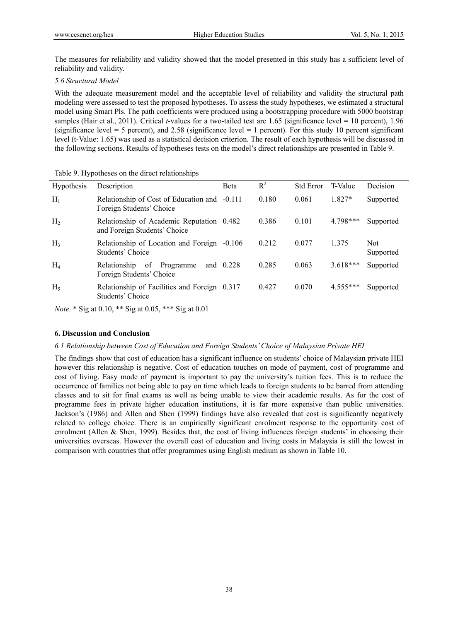The measures for reliability and validity showed that the model presented in this study has a sufficient level of reliability and validity.

## *5.6 Structural Model*

With the adequate measurement model and the acceptable level of reliability and validity the structural path modeling were assessed to test the proposed hypotheses. To assess the study hypotheses, we estimated a structural model using Smart Pls. The path coefficients were produced using a bootstrapping procedure with 5000 bootstrap samples (Hair et al., 2011). Critical *t*-values for a two-tailed test are 1.65 (significance level = 10 percent), 1.96 (significance level = 5 percent), and 2.58 (significance level = 1 percent). For this study 10 percent significant level (t-Value: 1.65) was used as a statistical decision criterion. The result of each hypothesis will be discussed in the following sections. Results of hypotheses tests on the model's direct relationships are presented in Table 9.

| Hypothesis     | Description                                                               | Beta        | $R^2$ | <b>Std Error</b> | T-Value    | Decision          |
|----------------|---------------------------------------------------------------------------|-------------|-------|------------------|------------|-------------------|
| $H_1$          | Relationship of Cost of Education and<br>Foreign Students' Choice         | $-0.111$    | 0.180 | 0.061            | 1.827*     | Supported         |
| H <sub>2</sub> | Relationship of Academic Reputation 0.482<br>and Foreign Students' Choice |             | 0.386 | 0.101            | 4.798***   | Supported         |
| H <sub>3</sub> | Relationship of Location and Foreign<br>Students' Choice                  | $-0.106$    | 0.212 | 0.077            | 1.375      | Not.<br>Supported |
| $H_4$          | of<br>Programme<br>Relationship<br>Foreign Students' Choice               | and $0.228$ | 0.285 | 0.063            | $3.618***$ | Supported         |
| H <sub>5</sub> | Relationship of Facilities and Foreign 0.317<br>Students' Choice          |             | 0.427 | 0.070            | $4.555***$ | Supported         |

#### Table 9. Hypotheses on the direct relationships

*Note*. \* Sig at 0.10, \*\* Sig at 0.05, \*\*\* Sig at 0.01

#### **6. Discussion and Conclusion**

#### *6.1 Relationship between Cost of Education and Foreign Students' Choice of Malaysian Private HEI*

The findings show that cost of education has a significant influence on students' choice of Malaysian private HEI however this relationship is negative. Cost of education touches on mode of payment, cost of programme and cost of living. Easy mode of payment is important to pay the university's tuition fees. This is to reduce the occurrence of families not being able to pay on time which leads to foreign students to be barred from attending classes and to sit for final exams as well as being unable to view their academic results. As for the cost of programme fees in private higher education institutions, it is far more expensive than public universities. Jackson's (1986) and Allen and Shen (1999) findings have also revealed that cost is significantly negatively related to college choice. There is an empirically significant enrolment response to the opportunity cost of enrolment (Allen & Shen, 1999). Besides that, the cost of living influences foreign students' in choosing their universities overseas. However the overall cost of education and living costs in Malaysia is still the lowest in comparison with countries that offer programmes using English medium as shown in Table 10.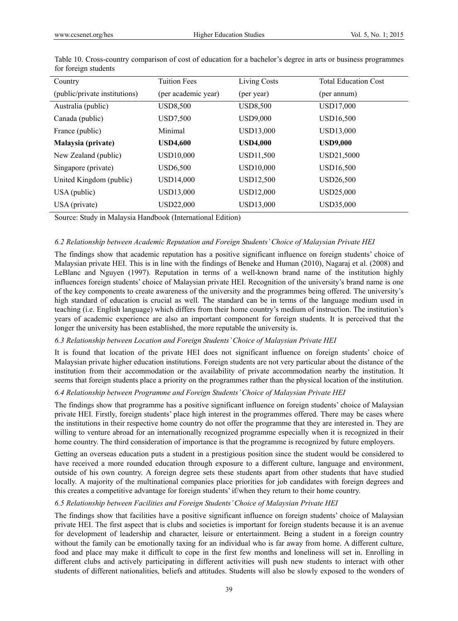| Country                       | <b>Tuition Fees</b> | Living Costs     | <b>Total Education Cost</b> |
|-------------------------------|---------------------|------------------|-----------------------------|
| (public/private institutions) | (per academic year) | (per year)       | (per annum)                 |
| Australia (public)            | <b>USD8,500</b>     | <b>USD8,500</b>  | <b>USD17,000</b>            |
| Canada (public)               | <b>USD7,500</b>     | <b>USD9,000</b>  | <b>USD16,500</b>            |
| France (public)               | Minimal             | <b>USD13,000</b> | <b>USD13,000</b>            |
| Malaysia (private)            | <b>USD4,600</b>     | <b>USD4,000</b>  | <b>USD9,000</b>             |
| New Zealand (public)          | <b>USD10,000</b>    | <b>USD11,500</b> | USD21,5000                  |
| Singapore (private)           | USD6,500            | <b>USD10,000</b> | USD16,500                   |
| United Kingdom (public)       | <b>USD14,000</b>    | <b>USD12,500</b> | <b>USD26,500</b>            |
| USA (public)                  | <b>USD13,000</b>    | <b>USD12,000</b> | <b>USD25,000</b>            |
| USA (private)                 | <b>USD22,000</b>    | <b>USD13,000</b> | <b>USD35,000</b>            |
|                               |                     |                  |                             |

Table 10. Cross-country comparison of cost of education for a bachelor's degree in arts or business programmes for foreign students

Source: Study in Malaysia Handbook (International Edition)

## *6.2 Relationship between Academic Reputation and Foreign Students' Choice of Malaysian Private HEI*

The findings show that academic reputation has a positive significant influence on foreign students' choice of Malaysian private HEI. This is in line with the findings of Beneke and Human (2010), Nagaraj et al. (2008) and LeBlanc and Nguyen (1997). Reputation in terms of a well-known brand name of the institution highly influences foreign students' choice of Malaysian private HEI. Recognition of the university's brand name is one of the key components to create awareness of the university and the programmes being offered. The university's high standard of education is crucial as well. The standard can be in terms of the language medium used in teaching (i.e. English language) which differs from their home country's medium of instruction. The institution's years of academic experience are also an important component for foreign students. It is perceived that the longer the university has been established, the more reputable the university is.

#### *6.3 Relationship between Location and Foreign Students' Choice of Malaysian Private HEI*

It is found that location of the private HEI does not significant influence on foreign students' choice of Malaysian private higher education institutions. Foreign students are not very particular about the distance of the institution from their accommodation or the availability of private accommodation nearby the institution. It seems that foreign students place a priority on the programmes rather than the physical location of the institution.

#### *6.4 Relationship between Programme and Foreign Students' Choice of Malaysian Private HEI*

The findings show that programme has a positive significant influence on foreign students' choice of Malaysian private HEI. Firstly, foreign students' place high interest in the programmes offered. There may be cases where the institutions in their respective home country do not offer the programme that they are interested in. They are willing to venture abroad for an internationally recognized programme especially when it is recognized in their home country. The third consideration of importance is that the programme is recognized by future employers.

Getting an overseas education puts a student in a prestigious position since the student would be considered to have received a more rounded education through exposure to a different culture, language and environment, outside of his own country. A foreign degree sets these students apart from other students that have studied locally. A majority of the multinational companies place priorities for job candidates with foreign degrees and this creates a competitive advantage for foreign students' if/when they return to their home country.

# *6.5 Relationship between Facilities and Foreign Students' Choice of Malaysian Private HEI*

The findings show that facilities have a positive significant influence on foreign students' choice of Malaysian private HEI. The first aspect that is clubs and societies is important for foreign students because it is an avenue for development of leadership and character, leisure or entertainment. Being a student in a foreign country without the family can be emotionally taxing for an individual who is far away from home. A different culture, food and place may make it difficult to cope in the first few months and loneliness will set in. Enrolling in different clubs and actively participating in different activities will push new students to interact with other students of different nationalities, beliefs and attitudes. Students will also be slowly exposed to the wonders of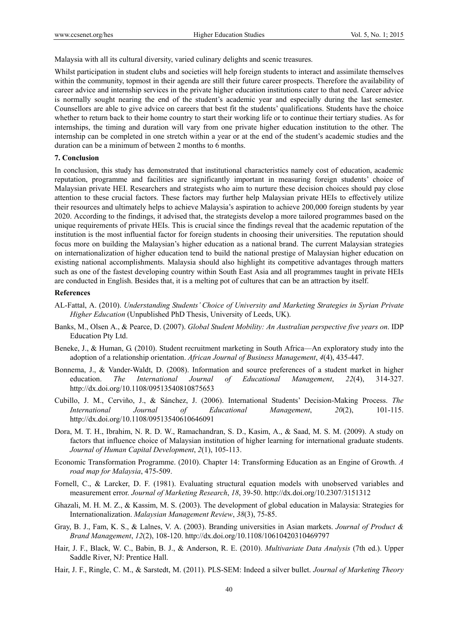Malaysia with all its cultural diversity, varied culinary delights and scenic treasures.

Whilst participation in student clubs and societies will help foreign students to interact and assimilate themselves within the community, topmost in their agenda are still their future career prospects. Therefore the availability of career advice and internship services in the private higher education institutions cater to that need. Career advice is normally sought nearing the end of the student's academic year and especially during the last semester. Counsellors are able to give advice on careers that best fit the students' qualifications. Students have the choice whether to return back to their home country to start their working life or to continue their tertiary studies. As for internships, the timing and duration will vary from one private higher education institution to the other. The internship can be completed in one stretch within a year or at the end of the student's academic studies and the duration can be a minimum of between 2 months to 6 months.

## **7. Conclusion**

In conclusion, this study has demonstrated that institutional characteristics namely cost of education, academic reputation, programme and facilities are significantly important in measuring foreign students' choice of Malaysian private HEI. Researchers and strategists who aim to nurture these decision choices should pay close attention to these crucial factors. These factors may further help Malaysian private HEIs to effectively utilize their resources and ultimately helps to achieve Malaysia's aspiration to achieve 200,000 foreign students by year 2020. According to the findings, it advised that, the strategists develop a more tailored programmes based on the unique requirements of private HEIs. This is crucial since the findings reveal that the academic reputation of the institution is the most influential factor for foreign students in choosing their universities. The reputation should focus more on building the Malaysian's higher education as a national brand. The current Malaysian strategies on internationalization of higher education tend to build the national prestige of Malaysian higher education on existing national accomplishments. Malaysia should also highlight its competitive advantages through matters such as one of the fastest developing country within South East Asia and all programmes taught in private HEIs are conducted in English. Besides that, it is a melting pot of cultures that can be an attraction by itself.

#### **References**

- AL-Fattal, A. (2010). *Understanding Students' Choice of University and Marketing Strategies in Syrian Private Higher Education* (Unpublished PhD Thesis, University of Leeds, UK).
- Banks, M., Olsen A., & Pearce, D. (2007). *Global Student Mobility: An Australian perspective five years on*. IDP Education Pty Ltd.
- Beneke, J., & Human, G. (2010). Student recruitment marketing in South Africa—An exploratory study into the adoption of a relationship orientation. *African Journal of Business Management*, *4*(4), 435-447.
- Bonnema, J., & Vander-Waldt, D. (2008). Information and source preferences of a student market in higher education. *The International Journal of Educational Management*, *22*(4), 314-327. http://dx.doi.org/10.1108/09513540810875653
- Cubillo, J. M., Cerviño, J., & Sánchez, J. (2006). International Students' Decision-Making Process. *The International Journal of Educational Management*, *20*(2), 101-115. http://dx.doi.org/10.1108/09513540610646091
- Dora, M. T. H., Ibrahim, N. R. D. W., Ramachandran, S. D., Kasim, A., & Saad, M. S. M. (2009). A study on factors that influence choice of Malaysian institution of higher learning for international graduate students. *Journal of Human Capital Development*, *2*(1), 105-113.
- Economic Transformation Programme. (2010). Chapter 14: Transforming Education as an Engine of Growth. *A road map for Malaysia*, 475-509.
- Fornell, C., & Larcker, D. F. (1981). Evaluating structural equation models with unobserved variables and measurement error. *Journal of Marketing Research*, *18*, 39-50. http://dx.doi.org/10.2307/3151312
- Ghazali, M. H. M. Z., & Kassim, M. S. (2003). The development of global education in Malaysia: Strategies for Internationalization. *Malaysian Management Review*, *38*(3), 75-85.
- Gray, B. J., Fam, K. S., & Lalnes, V. A. (2003). Branding universities in Asian markets. *Journal of Product & Brand Management*, *12*(2), 108-120. http://dx.doi.org/10.1108/10610420310469797
- Hair, J. F., Black, W. C., Babin, B. J., & Anderson, R. E. (2010). *Multivariate Data Analysis* (7th ed.). Upper Saddle River, NJ: Prentice Hall.
- Hair, J. F., Ringle, C. M., & Sarstedt, M. (2011). PLS-SEM: Indeed a silver bullet. *Journal of Marketing Theory*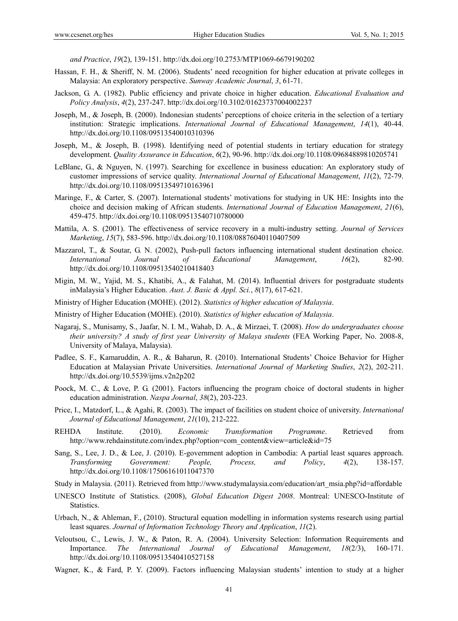*and Practice*, *19*(2), 139-151. http://dx.doi.org/10.2753/MTP1069-6679190202

- Hassan, F. H., & Sheriff, N. M. (2006). Students' need recognition for higher education at private colleges in Malaysia: An exploratory perspective. *Sunway Academic Journal*, *3*, 61-71.
- Jackson, G. A. (1982). Public efficiency and private choice in higher education. *Educational Evaluation and Policy Analysis*, *4*(2), 237-247. http://dx.doi.org/10.3102/01623737004002237
- Joseph, M., & Joseph, B. (2000). Indonesian students' perceptions of choice criteria in the selection of a tertiary institution: Strategic implications. *International Journal of Educational Management*, *14*(1), 40-44. http://dx.doi.org/10.1108/09513540010310396
- Joseph, M., & Joseph, B. (1998). Identifying need of potential students in tertiary education for strategy development. *Quality Assurance in Education*, *6*(2), 90-96. http://dx.doi.org/10.1108/09684889810205741
- LeBlanc, G., & Nguyen, N. (1997). Searching for excellence in business education: An exploratory study of customer impressions of service quality. *International Journal of Educational Management*, *11*(2), 72-79. http://dx.doi.org/10.1108/09513549710163961
- Maringe, F., & Carter, S. (2007). International students' motivations for studying in UK HE: Insights into the choice and decision making of African students. *International Journal of Education Management*, *21*(6), 459-475. http://dx.doi.org/10.1108/09513540710780000
- Mattila, A. S. (2001). The effectiveness of service recovery in a multi-industry setting. *Journal of Services Marketing*, *15*(7), 583-596. http://dx.doi.org/10.1108/08876040110407509
- Mazzarol, T., & Soutar, G. N. (2002), Push-pull factors influencing international student destination choice. *International Journal of Educational Management*, *16*(2), 82-90. http://dx.doi.org/10.1108/09513540210418403
- Migin, M. W., Yajid, M. S., Khatibi, A., & Falahat, M. (2014). Influential drivers for postgraduate students inMalaysia's Higher Education. *Aust. J. Basic & Appl. Sci.*, *8*(17), 617-621.
- Ministry of Higher Education (MOHE). (2012). *Statistics of higher education of Malaysia*.
- Ministry of Higher Education (MOHE). (2010). *Statistics of higher education of Malaysia*.
- Nagaraj, S., Munisamy, S., Jaafar, N. I. M., Wahab, D. A., & Mirzaei, T. (2008). *How do undergraduates choose their university? A study of first year University of Malaya students* (FEA Working Paper, No. 2008-8, University of Malaya, Malaysia).
- Padlee, S. F., Kamaruddin, A. R., & Baharun, R. (2010). International Students' Choice Behavior for Higher Education at Malaysian Private Universities. *International Journal of Marketing Studies*, *2*(2), 202-211. http://dx.doi.org/10.5539/ijms.v2n2p202
- Poock, M. C., & Love, P. G. (2001). Factors influencing the program choice of doctoral students in higher education administration. *Naspa Journal*, *38*(2), 203-223.
- Price, I., Matzdorf, L., & Agahi, R. (2003). The impact of facilities on student choice of university. *International Journal of Educational Management*, *21*(10), 212-222.
- REHDA Institute. (2010). *Economic Transformation Programme*. Retrieved from http://www.rehdainstitute.com/index.php?option=com\_content&view=article&id=75
- Sang, S., Lee, J. D., & Lee, J. (2010). E-government adoption in Cambodia: A partial least squares approach. *Transforming Government: People, Process, and Policy*, *4*(2), 138-157. http://dx.doi.org/10.1108/17506161011047370
- Study in Malaysia. (2011). Retrieved from http://www.studymalaysia.com/education/art\_msia.php?id=affordable
- UNESCO Institute of Statistics. (2008), *Global Education Digest 2008*. Montreal: UNESCO-Institute of Statistics.
- Urbach, N., & Ahleman, F., (2010). Structural equation modelling in information systems research using partial least squares. *Journal of Information Technology Theory and Application*, *11*(2).
- Veloutsou, C., Lewis, J. W., & Paton, R. A. (2004). University Selection: Information Requirements and Importance. *The International Journal of Educational Management*, *18*(2/3), 160-171. http://dx.doi.org/10.1108/09513540410527158
- Wagner, K., & Fard, P. Y. (2009). Factors influencing Malaysian students' intention to study at a higher